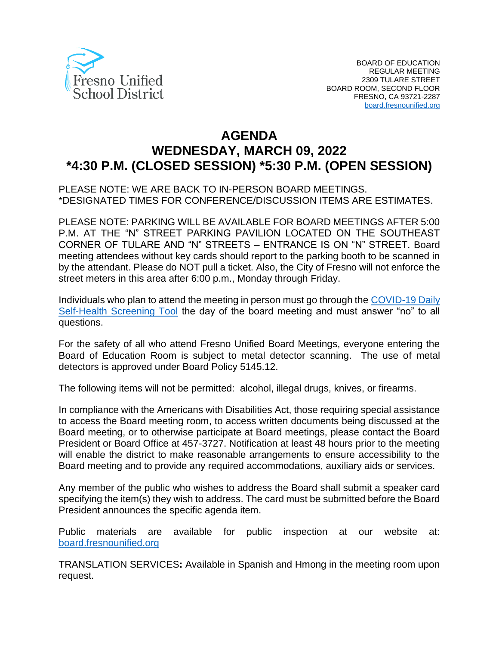

# **AGENDA WEDNESDAY, MARCH 09, 2022 \*4:30 P.M. (CLOSED SESSION) \*5:30 P.M. (OPEN SESSION)**

PLEASE NOTE: WE ARE BACK TO IN-PERSON BOARD MEETINGS. \*DESIGNATED TIMES FOR CONFERENCE/DISCUSSION ITEMS ARE ESTIMATES.

PLEASE NOTE: PARKING WILL BE AVAILABLE FOR BOARD MEETINGS AFTER 5:00 P.M. AT THE "N" STREET PARKING PAVILION LOCATED ON THE SOUTHEAST CORNER OF TULARE AND "N" STREETS – ENTRANCE IS ON "N" STREET. Board meeting attendees without key cards should report to the parking booth to be scanned in by the attendant. Please do NOT pull a ticket. Also, the City of Fresno will not enforce the street meters in this area after 6:00 p.m., Monday through Friday.

Individuals who plan to attend the meeting in person must go through the [COVID-19 Daily](https://www.fresnounified.org/covid19/) [Self-Health Screening Tool](https://www.fresnounified.org/covid19/) the day of the board meeting and must answer "no" to all questions.

For the safety of all who attend Fresno Unified Board Meetings, everyone entering the Board of Education Room is subject to metal detector scanning. The use of metal detectors is approved under Board Policy 5145.12.

The following items will not be permitted: alcohol, illegal drugs, knives, or firearms.

In compliance with the Americans with Disabilities Act, those requiring special assistance to access the Board meeting room, to access written documents being discussed at the Board meeting, or to otherwise participate at Board meetings, please contact the Board President or Board Office at 457-3727. Notification at least 48 hours prior to the meeting will enable the district to make reasonable arrangements to ensure accessibility to the Board meeting and to provide any required accommodations, auxiliary aids or services.

Any member of the public who wishes to address the Board shall submit a speaker card specifying the item(s) they wish to address. The card must be submitted before the Board President announces the specific agenda item.

Public materials are available for public inspection at our website at: [board.fresnounified.org](https://board.fresnounified.org/)

TRANSLATION SERVICES**:** Available in Spanish and Hmong in the meeting room upon request.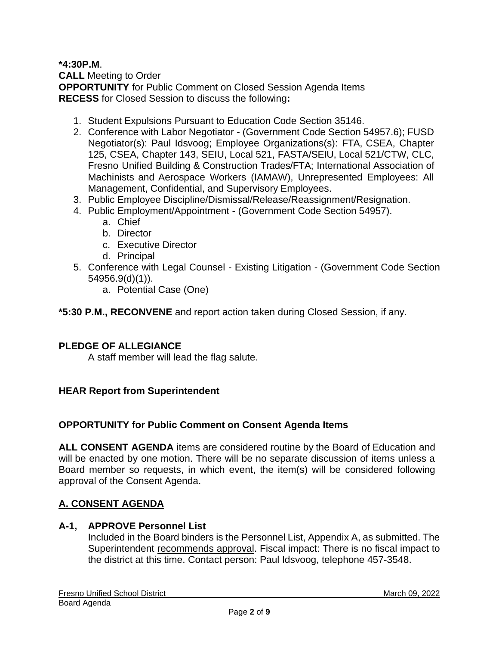# **\*4:30P.M**.

**CALL** Meeting to Order **OPPORTUNITY** for Public Comment on Closed Session Agenda Items **RECESS** for Closed Session to discuss the following**:**

- 1. Student Expulsions Pursuant to Education Code Section 35146.
- 2. Conference with Labor Negotiator (Government Code Section 54957.6); FUSD Negotiator(s): Paul Idsvoog; Employee Organizations(s): FTA, CSEA, Chapter 125, CSEA, Chapter 143, SEIU, Local 521, FASTA/SEIU, Local 521/CTW, CLC, Fresno Unified Building & Construction Trades/FTA; International Association of Machinists and Aerospace Workers (IAMAW), Unrepresented Employees: All Management, Confidential, and Supervisory Employees.
- 3. Public Employee Discipline/Dismissal/Release/Reassignment/Resignation.
- 4. Public Employment/Appointment (Government Code Section 54957).
	- a. Chief
	- b. Director
	- c. Executive Director
	- d. Principal
- 5. Conference with Legal Counsel Existing Litigation (Government Code Section 54956.9(d)(1)).
	- a. Potential Case (One)

**\*5:30 P.M., RECONVENE** and report action taken during Closed Session, if any.

# **PLEDGE OF ALLEGIANCE**

A staff member will lead the flag salute.

#### **HEAR Report from Superintendent**

#### **OPPORTUNITY for Public Comment on Consent Agenda Items**

**ALL CONSENT AGENDA** items are considered routine by the Board of Education and will be enacted by one motion. There will be no separate discussion of items unless a Board member so requests, in which event, the item(s) will be considered following approval of the Consent Agenda.

# **A. CONSENT AGENDA**

### **A-1, APPROVE Personnel List**

Included in the Board binders is the Personnel List, Appendix A, as submitted. The Superintendent recommends approval. Fiscal impact: There is no fiscal impact to the district at this time. Contact person: Paul Idsvoog, telephone 457-3548.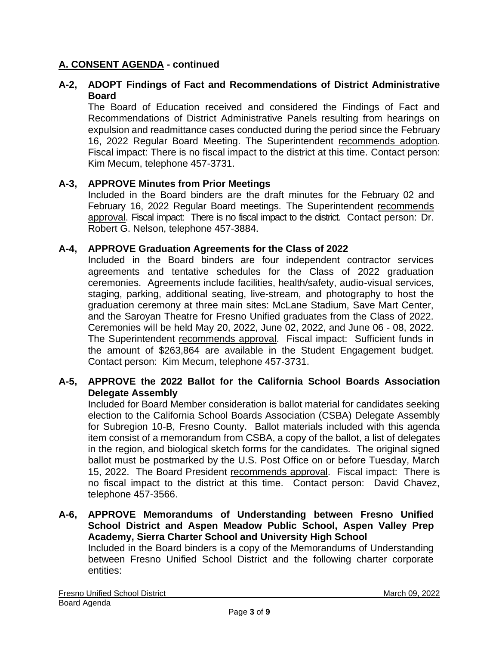# **A-2, ADOPT Findings of Fact and Recommendations of District Administrative Board**

The Board of Education received and considered the Findings of Fact and Recommendations of District Administrative Panels resulting from hearings on expulsion and readmittance cases conducted during the period since the February 16, 2022 Regular Board Meeting. The Superintendent recommends adoption. Fiscal impact: There is no fiscal impact to the district at this time. Contact person: Kim Mecum, telephone 457-3731.

#### **A-3, APPROVE Minutes from Prior Meetings**

Included in the Board binders are the draft minutes for the February 02 and February 16, 2022 Regular Board meetings. The Superintendent recommends approval. Fiscal impact: There is no fiscal impact to the district. Contact person: Dr. Robert G. Nelson, telephone 457-3884.

#### **A-4, APPROVE Graduation Agreements for the Class of 2022**

Included in the Board binders are four independent contractor services agreements and tentative schedules for the Class of 2022 graduation ceremonies. Agreements include facilities, health/safety, audio-visual services, staging, parking, additional seating, live-stream, and photography to host the graduation ceremony at three main sites: McLane Stadium, Save Mart Center, and the Saroyan Theatre for Fresno Unified graduates from the Class of 2022. Ceremonies will be held May 20, 2022, June 02, 2022, and June 06 - 08, 2022. The Superintendent recommends approval. Fiscal impact: Sufficient funds in the amount of \$263,864 are available in the Student Engagement budget. Contact person: Kim Mecum, telephone 457-3731.

#### **A-5, APPROVE the 2022 Ballot for the California School Boards Association Delegate Assembly**

Included for Board Member consideration is ballot material for candidates seeking election to the California School Boards Association (CSBA) Delegate Assembly for Subregion 10-B, Fresno County. Ballot materials included with this agenda item consist of a memorandum from CSBA, a copy of the ballot, a list of delegates in the region, and biological sketch forms for the candidates. The original signed ballot must be postmarked by the U.S. Post Office on or before Tuesday, March 15, 2022. The Board President recommends approval. Fiscal impact: There is no fiscal impact to the district at this time. Contact person: David Chavez, telephone 457-3566.

#### **A-6, APPROVE Memorandums of Understanding between Fresno Unified School District and Aspen Meadow Public School, Aspen Valley Prep Academy, Sierra Charter School and University High School** Included in the Board binders is a copy of the Memorandums of Understanding between Fresno Unified School District and the following charter corporate entities: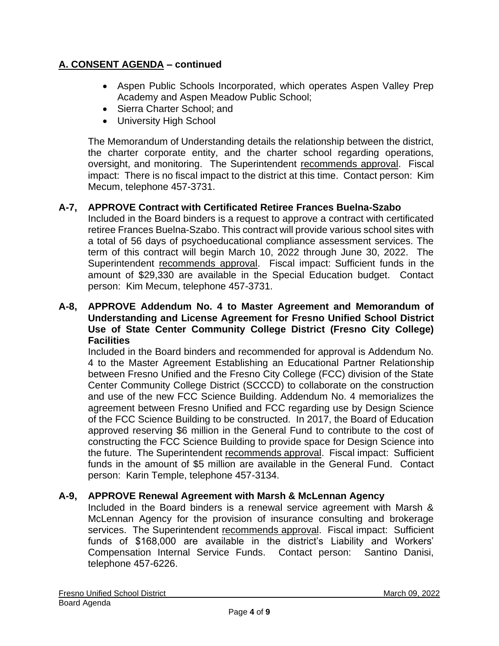- Aspen Public Schools Incorporated, which operates Aspen Valley Prep Academy and Aspen Meadow Public School;
- Sierra Charter School; and
- University High School

The Memorandum of Understanding details the relationship between the district, the charter corporate entity, and the charter school regarding operations, oversight, and monitoring. The Superintendent recommends approval. Fiscal impact: There is no fiscal impact to the district at this time. Contact person: Kim Mecum, telephone 457-3731.

# **A-7, APPROVE Contract with Certificated Retiree Frances Buelna-Szabo**

Included in the Board binders is a request to approve a contract with certificated retiree Frances Buelna-Szabo. This contract will provide various school sites with a total of 56 days of psychoeducational compliance assessment services. The term of this contract will begin March 10, 2022 through June 30, 2022. The Superintendent recommends approval. Fiscal impact: Sufficient funds in the amount of \$29,330 are available in the Special Education budget. Contact person: Kim Mecum, telephone 457-3731.

#### **A-8, APPROVE Addendum No. 4 to Master Agreement and Memorandum of Understanding and License Agreement for Fresno Unified School District Use of State Center Community College District (Fresno City College) Facilities**

Included in the Board binders and recommended for approval is Addendum No. 4 to the Master Agreement Establishing an Educational Partner Relationship between Fresno Unified and the Fresno City College (FCC) division of the State Center Community College District (SCCCD) to collaborate on the construction and use of the new FCC Science Building. Addendum No. 4 memorializes the agreement between Fresno Unified and FCC regarding use by Design Science of the FCC Science Building to be constructed. In 2017, the Board of Education approved reserving \$6 million in the General Fund to contribute to the cost of constructing the FCC Science Building to provide space for Design Science into the future. The Superintendent recommends approval. Fiscal impact: Sufficient funds in the amount of \$5 million are available in the General Fund. Contact person: Karin Temple, telephone 457-3134.

#### **A-9, APPROVE Renewal Agreement with Marsh & McLennan Agency**

Included in the Board binders is a renewal service agreement with Marsh & McLennan Agency for the provision of insurance consulting and brokerage services. The Superintendent recommends approval. Fiscal impact: Sufficient funds of \$168,000 are available in the district's Liability and Workers' Compensation Internal Service Funds. Contact person: Santino Danisi, telephone 457-6226.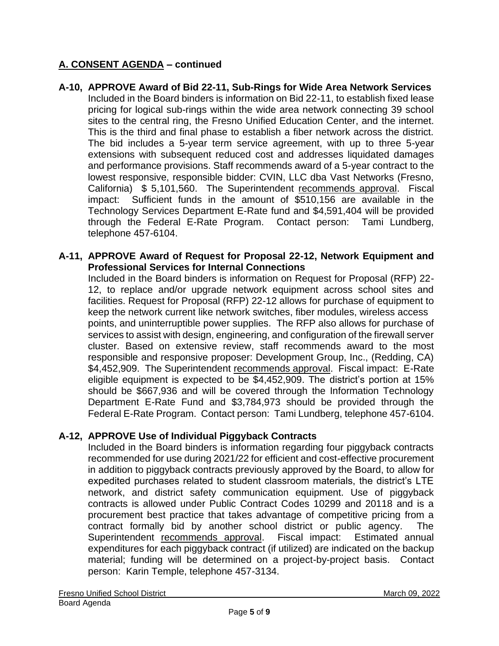**A-10, APPROVE Award of Bid 22-11, Sub-Rings for Wide Area Network Services** Included in the Board binders is information on Bid 22-11, to establish fixed lease pricing for logical sub-rings within the wide area network connecting 39 school sites to the central ring, the Fresno Unified Education Center, and the internet. This is the third and final phase to establish a fiber network across the district. The bid includes a 5-year term service agreement, with up to three 5-year extensions with subsequent reduced cost and addresses liquidated damages and performance provisions. Staff recommends award of a 5-year contract to the lowest responsive, responsible bidder: CVIN, LLC dba Vast Networks (Fresno, California) \$ 5,101,560. The Superintendent recommends approval. Fiscal impact: Sufficient funds in the amount of \$510,156 are available in the Technology Services Department E-Rate fund and \$4,591,404 will be provided through the Federal E-Rate Program. Contact person: Tami Lundberg, telephone 457-6104.

#### **A-11, APPROVE Award of Request for Proposal 22-12, Network Equipment and Professional Services for Internal Connections**

Included in the Board binders is information on Request for Proposal (RFP) 22- 12, to replace and/or upgrade network equipment across school sites and facilities. Request for Proposal (RFP) 22-12 allows for purchase of equipment to keep the network current like network switches, fiber modules, wireless access points, and uninterruptible power supplies. The RFP also allows for purchase of services to assist with design, engineering, and configuration of the firewall server cluster. Based on extensive review, staff recommends award to the most responsible and responsive proposer: Development Group, Inc., (Redding, CA) \$4,452,909. The Superintendent recommends approval. Fiscal impact: E-Rate eligible equipment is expected to be \$4,452,909. The district's portion at 15% should be \$667,936 and will be covered through the Information Technology Department E-Rate Fund and \$3,784,973 should be provided through the Federal E-Rate Program. Contact person: Tami Lundberg, telephone 457-6104.

# **A-12, APPROVE Use of Individual Piggyback Contracts**

Included in the Board binders is information regarding four piggyback contracts recommended for use during 2021/22 for efficient and cost-effective procurement in addition to piggyback contracts previously approved by the Board, to allow for expedited purchases related to student classroom materials, the district's LTE network, and district safety communication equipment. Use of piggyback contracts is allowed under Public Contract Codes 10299 and 20118 and is a procurement best practice that takes advantage of competitive pricing from a contract formally bid by another school district or public agency. The Superintendent recommends approval. Fiscal impact: Estimated annual expenditures for each piggyback contract (if utilized) are indicated on the backup material; funding will be determined on a project-by-project basis. Contact person: Karin Temple, telephone 457-3134.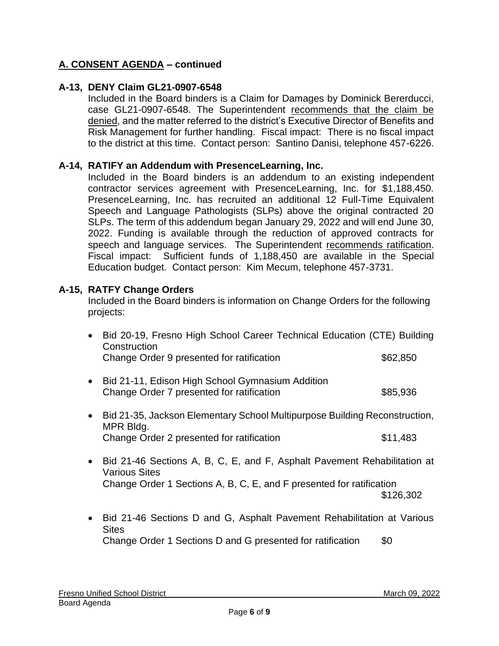#### **A-13, DENY Claim GL21-0907-6548**

Included in the Board binders is a Claim for Damages by Dominick Bererducci, case GL21-0907-6548. The Superintendent recommends that the claim be denied, and the matter referred to the district's Executive Director of Benefits and Risk Management for further handling. Fiscal impact: There is no fiscal impact to the district at this time. Contact person: Santino Danisi, telephone 457-6226.

#### **A-14, RATIFY an Addendum with PresenceLearning, Inc.**

Included in the Board binders is an addendum to an existing independent contractor services agreement with PresenceLearning, Inc. for \$1,188,450. PresenceLearning, Inc. has recruited an additional 12 Full-Time Equivalent Speech and Language Pathologists (SLPs) above the original contracted 20 SLPs. The term of this addendum began January 29, 2022 and will end June 30, 2022. Funding is available through the reduction of approved contracts for speech and language services. The Superintendent recommends ratification. Fiscal impact: Sufficient funds of 1,188,450 are available in the Special Education budget. Contact person: Kim Mecum, telephone 457-3731.

#### **A-15, RATFY Change Orders**

Included in the Board binders is information on Change Orders for the following projects:

|           | Bid 20-19, Fresno High School Career Technical Education (CTE) Building<br>Construction          |          |
|-----------|--------------------------------------------------------------------------------------------------|----------|
|           | Change Order 9 presented for ratification                                                        | \$62,850 |
| $\bullet$ | Bid 21-11, Edison High School Gymnasium Addition<br>Change Order 7 presented for ratification    | \$85,936 |
| $\bullet$ | Bid 21-35, Jackson Elementary School Multipurpose Building Reconstruction,<br>MPR Bldg.          |          |
|           | Change Order 2 presented for ratification                                                        | \$11,483 |
| $\bullet$ | Bid 21-46 Sections A, B, C, E, and F, Asphalt Pavement Rehabilitation at<br><b>Various Sites</b> |          |

- Change Order 1 Sections A, B, C, E, and F presented for ratification \$126,302
- Bid 21-46 Sections D and G, Asphalt Pavement Rehabilitation at Various **Sites** Change Order 1 Sections D and G presented for ratification \$0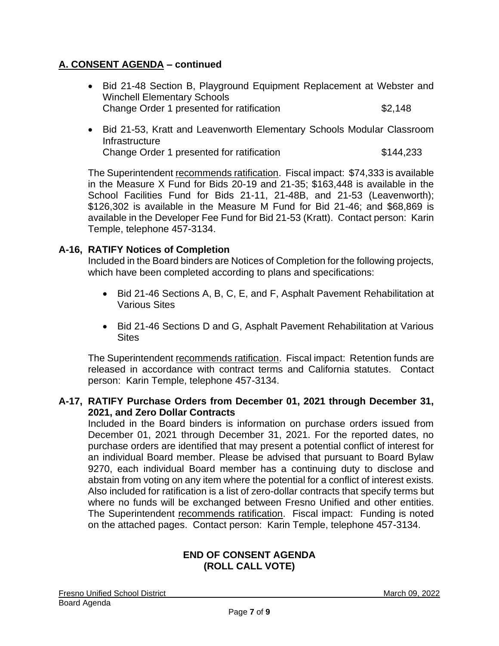- Bid 21-48 Section B, Playground Equipment Replacement at Webster and Winchell Elementary Schools Change Order 1 presented for ratification  $$2,148$
- Bid 21-53, Kratt and Leavenworth Elementary Schools Modular Classroom **Infrastructure** Change Order 1 presented for ratification  $$144,233$

The Superintendent recommends ratification. Fiscal impact: \$74,333 is available in the Measure X Fund for Bids 20-19 and 21-35; \$163,448 is available in the School Facilities Fund for Bids 21-11, 21-48B, and 21-53 (Leavenworth); \$126,302 is available in the Measure M Fund for Bid 21-46; and \$68,869 is available in the Developer Fee Fund for Bid 21-53 (Kratt). Contact person: Karin Temple, telephone 457-3134.

# **A-16, RATIFY Notices of Completion**

Included in the Board binders are Notices of Completion for the following projects, which have been completed according to plans and specifications:

- Bid 21-46 Sections A, B, C, E, and F, Asphalt Pavement Rehabilitation at Various Sites
- Bid 21-46 Sections D and G, Asphalt Pavement Rehabilitation at Various **Sites**

The Superintendent recommends ratification. Fiscal impact: Retention funds are released in accordance with contract terms and California statutes. Contact person: Karin Temple, telephone 457-3134.

#### **A-17, RATIFY Purchase Orders from December 01, 2021 through December 31, 2021, and Zero Dollar Contracts**

Included in the Board binders is information on purchase orders issued from December 01, 2021 through December 31, 2021. For the reported dates, no purchase orders are identified that may present a potential conflict of interest for an individual Board member. Please be advised that pursuant to Board Bylaw 9270, each individual Board member has a continuing duty to disclose and abstain from voting on any item where the potential for a conflict of interest exists. Also included for ratification is a list of zero-dollar contracts that specify terms but where no funds will be exchanged between Fresno Unified and other entities. The Superintendent recommends ratification. Fiscal impact: Funding is noted on the attached pages. Contact person: Karin Temple, telephone 457-3134.

#### **END OF CONSENT AGENDA (ROLL CALL VOTE)**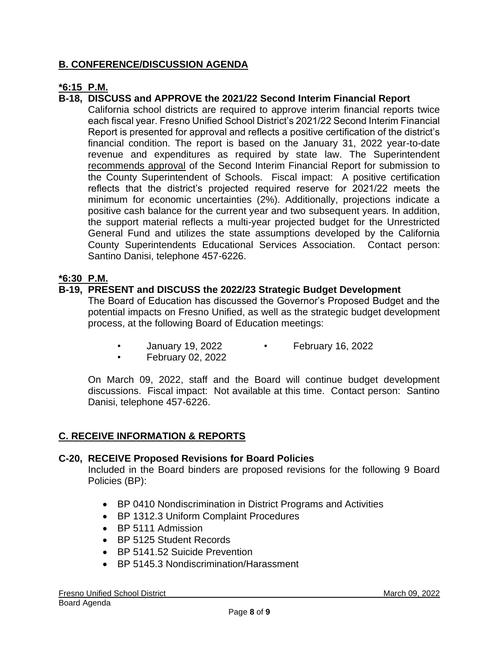# **B. CONFERENCE/DISCUSSION AGENDA**

# **\*6:15 P.M.**

# **B-18, DISCUSS and APPROVE the 2021/22 Second Interim Financial Report**

California school districts are required to approve interim financial reports twice each fiscal year. Fresno Unified School District's 2021/22 Second Interim Financial Report is presented for approval and reflects a positive certification of the district's financial condition. The report is based on the January 31, 2022 year-to-date revenue and expenditures as required by state law. The Superintendent recommends approval of the Second Interim Financial Report for submission to the County Superintendent of Schools. Fiscal impact: A positive certification reflects that the district's projected required reserve for 2021/22 meets the minimum for economic uncertainties (2%). Additionally, projections indicate a positive cash balance for the current year and two subsequent years. In addition, the support material reflects a multi-year projected budget for the Unrestricted General Fund and utilizes the state assumptions developed by the California County Superintendents Educational Services Association. Contact person: Santino Danisi, telephone 457-6226.

#### **\*6:30 P.M.**

# **B-19, PRESENT and DISCUSS the 2022/23 Strategic Budget Development**

The Board of Education has discussed the Governor's Proposed Budget and the potential impacts on Fresno Unified, as well as the strategic budget development process, at the following Board of Education meetings:

- January 19, 2022 February 16, 2022
- February 02, 2022

On March 09, 2022, staff and the Board will continue budget development discussions. Fiscal impact: Not available at this time. Contact person: Santino Danisi, telephone 457-6226.

# **C. RECEIVE INFORMATION & REPORTS**

#### **C-20, RECEIVE Proposed Revisions for Board Policies**

Included in the Board binders are proposed revisions for the following 9 Board Policies (BP):

- BP 0410 Nondiscrimination in District Programs and Activities
- BP 1312.3 Uniform Complaint Procedures
- BP 5111 Admission
- BP 5125 Student Records
- BP 5141.52 Suicide Prevention
- BP 5145.3 Nondiscrimination/Harassment